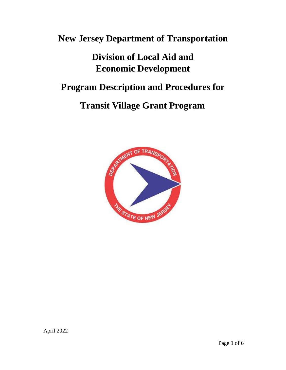# **New Jersey Department of Transportation**

# **Division of Local Aid and Economic Development**

# **Program Description and Procedures for**

# **Transit Village Grant Program**

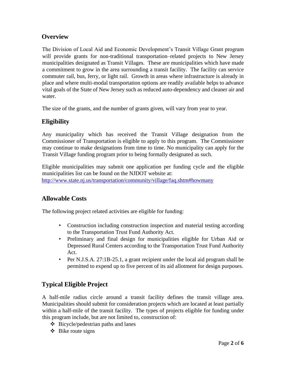## **Overview**

The Division of Local Aid and Economic Development's Transit Village Grant program will provide grants for non-traditional transportation–related projects to New Jersey municipalities designated as Transit Villages. These are municipalities which have made a commitment to grow in the area surrounding a transit facility. The facility can service commuter rail, bus, ferry, or light rail. Growth in areas where infrastructure is already in place and where multi-modal transportation options are readily available helps to advance vital goals of the State of New Jersey such as reduced auto-dependency and cleaner air and water.

The size of the grants, and the number of grants given, will vary from year to year.

## **Eligibility**

Any municipality which has received the Transit Village designation from the Commissioner of Transportation is eligible to apply to this program. The Commissioner may continue to make designations from time to time. No municipality can apply for the Transit Village funding program prior to being formally designated as such.

Eligible municipalities may submit one application per funding cycle and the eligible municipalities list can be found on the NJDOT website at: [http://www.state.nj.us/transportation/community/village/faq.shtm#howmany](https://www.state.nj.us/transportation/community/village/faq.shtm#howmany)

## **Allowable Costs**

The following project related activities are eligible for funding:

- Construction including construction inspection and material testing according to the Transportation Trust Fund Authority Act.
- Preliminary and final design for municipalities eligible for Urban Aid or Depressed Rural Centers according to the Transportation Trust Fund Authority Act.
- Per N.J.S.A. 27:1B-25.1, a grant recipient under the local aid program shall be permitted to expend up to five percent of its aid allotment for design purposes.

# **Typical Eligible Project**

A half-mile radius circle around a transit facility defines the transit village area. Municipalities should submit for consideration projects which are located at least partially within a half-mile of the transit facility. The types of projects eligible for funding under this program include, but are not limited to, construction of:

- ❖ Bicycle/pedestrian paths and lanes
- $\div$  Bike route signs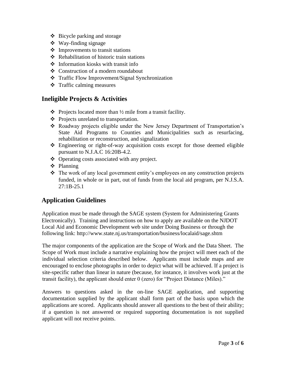- ❖ Bicycle parking and storage
- ❖ Way-finding signage
- ❖ Improvements to transit stations
- ❖ Rehabilitation of historic train stations
- ❖ Information kiosks with transit info
- ❖ Construction of a modern roundabout
- ❖ Traffic Flow Improvement/Signal Synchronization
- ❖ Traffic calming measures

#### **Ineligible Projects & Activities**

- $\triangle$  Projects located more than  $\frac{1}{2}$  mile from a transit facility.
- ❖ Projects unrelated to transportation.
- ❖ Roadway projects eligible under the New Jersey Department of Transportation's State Aid Programs to Counties and Municipalities such as resurfacing, rehabilitation or reconstruction, and signalization
- ❖ Engineering or right-of-way acquisition costs except for those deemed eligible pursuant to N.J.A.C 16:20B-4.2.
- ❖ Operating costs associated with any project.
- ❖ Planning
- ❖ The work of any local government entity's employees on any construction projects funded, in whole or in part, out of funds from the local aid program, per N.J.S.A. 27:1B-25.1

#### **Application Guidelines**

Application must be made through the SAGE system (System for Administering Grants Electronically). Training and instructions on how to apply are available on the NJDOT Local Aid and Economic Development web site under Doing Business or through the following link: http://www.state.nj.us/transportation/business/localaid/sage.shtm

The major components of the application are the Scope of Work and the Data Sheet. The Scope of Work must include a narrative explaining how the project will meet each of the individual selection criteria described below. Applicants must include maps and are encouraged to enclose photographs in order to depict what will be achieved. If a project is site-specific rather than linear in nature (because, for instance, it involves work just at the transit facility), the applicant should enter 0 (zero) for "Project Distance (Miles)."

Answers to questions asked in the on-line SAGE application, and supporting documentation supplied by the applicant shall form part of the basis upon which the applications are scored. Applicants should answer all questions to the best of their ability; if a question is not answered or required supporting documentation is not supplied applicant will not receive points.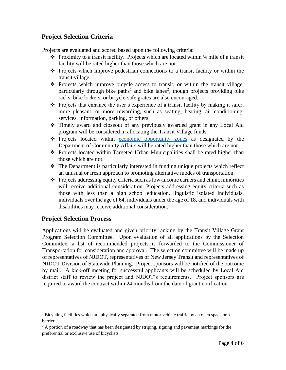## **Project Selection Criteria**

Projects are evaluated and scored based upon the following criteria:

- ❖ Proximity to a transit facility. Projects which are located within ¼ mile of a transit facility will be rated higher than those which are not.
- ❖ Projects which improve pedestrian connections to a transit facility or within the transit village.
- ❖ Projects which improve bicycle access to transit, or within the transit village, particularly through bike paths<sup>1</sup> and bike lanes<sup>2</sup>, though projects providing bike racks, bike lockers, or bicycle-safe grates are also encouraged.
- $\bullet$  Projects that enhance the user's experience of a transit facility by making it safer, more pleasant, or more rewarding, such as seating, heating, air conditioning, services, information, parking, or others.
- ❖ Timely award and closeout of any previously awarded grant in any Local Aid program will be considered in allocating the Transit Village funds.
- ❖ Projects located within [economic opportunity zones](https://www.state.nj.us/dca/divisions/lps/pdf/Statewide_Designated_Opportunity_Zones_Map.pdf) as designated by the Department of Community Affairs will be rated higher than those which are not.
- ❖ Projects located within Targeted Urban Municipalities shall be rated higher than those which are not.
- ❖ The Department is particularly interested in funding unique projects which reflect an unusual or fresh approach to promoting alternative modes of transportation.
- ❖ Projects addressing equity criteria such as low-income earners and ethnic minorities will receive additional consideration. Projects addressing equity criteria such as those with less than a high school education, linguistic isolated individuals, individuals over the age of 64, individuals under the age of 18, and individuals with disabilities may receive additional consideration.

### **Project Selection Process**

Applications will be evaluated and given priority ranking by the Transit Village Grant Program Selection Committee. Upon evaluation of all applications by the Selection Committee, a list of recommended projects is forwarded to the Commissioner of Transportation for consideration and approval. The selection committee will be made up of representatives of NJDOT, representatives of New Jersey Transit and representatives of NJDOT Division of Statewide Planning. Project sponsors will be notified of the outcome by mail. A kick-off meeting for successful applicants will be scheduled by Local Aid district staff to review the project and NJDOT's requirements. Project sponsors are required to award the contract within 24 months from the date of grant notification.

<sup>&</sup>lt;sup>1</sup> Bicycling facilities which are physically separated from motor vehicle traffic by an open space or a barrier.

 $<sup>2</sup>$  A portion of a roadway that has been designated by striping, signing and pavement markings for the</sup> preferential or exclusive use of bicyclists.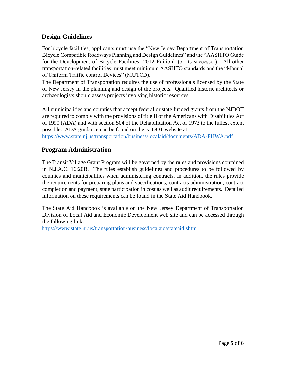### **Design Guidelines**

For bicycle facilities, applicants must use the "New Jersey Department of Transportation Bicycle Compatible Roadways Planning and Design Guidelines" and the "AASHTO Guide for the Development of Bicycle Facilities- 2012 Edition" (or its successor). All other transportation-related facilities must meet minimum AASHTO standards and the "Manual of Uniform Traffic control Devices" (MUTCD).

The Department of Transportation requires the use of professionals licensed by the State of New Jersey in the planning and design of the projects. Qualified historic architects or archaeologists should assess projects involving historic resources.

All municipalities and counties that accept federal or state funded grants from the NJDOT are required to comply with the provisions of title II of the Americans with Disabilities Act of 1990 (ADA) and with section 504 of the Rehabilitation Act of 1973 to the fullest extent possible. ADA guidance can be found on the NJDOT website at:

<https://www.state.nj.us/transportation/business/localaid/documents/ADA-FHWA.pdf>

### **Program Administration**

The Transit Village Grant Program will be governed by the rules and provisions contained in N.J.A.C. 16:20B. The rules establish guidelines and procedures to be followed by counties and municipalities when administering contracts. In addition, the rules provide the requirements for preparing plans and specifications, contracts administration, contract completion and payment, state participation in cost as well as audit requirements. Detailed information on these requirements can be found in the [State Aid Handbook.](http://www.state.nj.us/transportation/business/localaid/documents/StateAidHandbook_025.pdf) 

The [State Aid Handbook i](http://www.state.nj.us/transportation/business/localaid/documents/StateAidHandbook_025.pdf)s available on the New Jersey Department of Transportation Division of Local Aid and Economic Development web site and can be accessed through the following link:

<https://www.state.nj.us/transportation/business/localaid/stateaid.shtm>